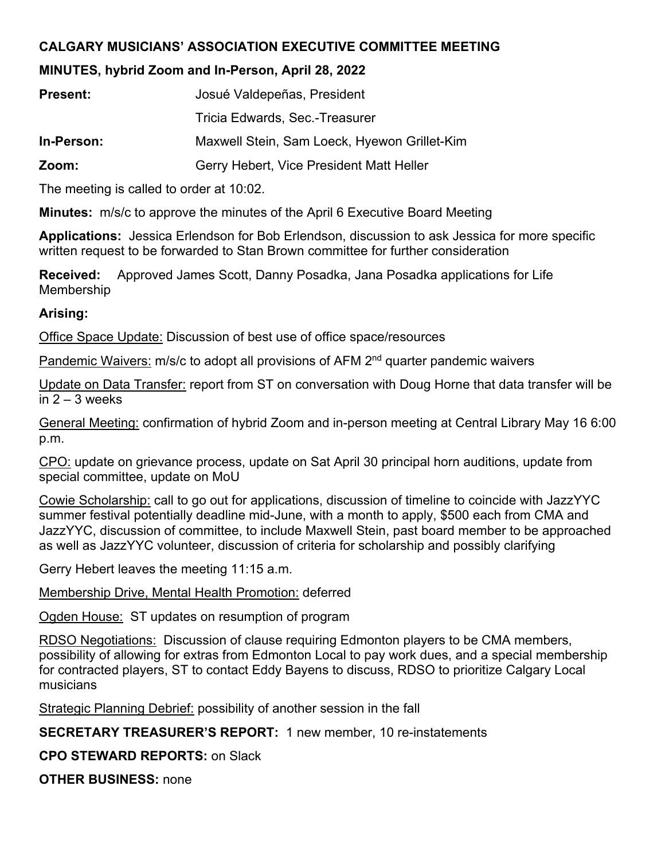## **CALGARY MUSICIANS' ASSOCIATION EXECUTIVE COMMITTEE MEETING**

## **MINUTES, hybrid Zoom and In-Person, April 28, 2022**

| <b>Present:</b> | Josué Valdepeñas, President                  |
|-----------------|----------------------------------------------|
|                 | Tricia Edwards, Sec.-Treasurer               |
| In-Person:      | Maxwell Stein, Sam Loeck, Hyewon Grillet-Kim |
| Zoom:           | Gerry Hebert, Vice President Matt Heller     |

The meeting is called to order at 10:02.

**Minutes:** m/s/c to approve the minutes of the April 6 Executive Board Meeting

**Applications:** Jessica Erlendson for Bob Erlendson, discussion to ask Jessica for more specific written request to be forwarded to Stan Brown committee for further consideration

**Received:** Approved James Scott, Danny Posadka, Jana Posadka applications for Life Membership

## **Arising:**

Office Space Update: Discussion of best use of office space/resources

Pandemic Waivers: m/s/c to adopt all provisions of AFM 2<sup>nd</sup> quarter pandemic waivers

Update on Data Transfer: report from ST on conversation with Doug Horne that data transfer will be in  $2 - 3$  weeks

General Meeting: confirmation of hybrid Zoom and in-person meeting at Central Library May 16 6:00 p.m.

CPO: update on grievance process, update on Sat April 30 principal horn auditions, update from special committee, update on MoU

Cowie Scholarship: call to go out for applications, discussion of timeline to coincide with JazzYYC summer festival potentially deadline mid-June, with a month to apply, \$500 each from CMA and JazzYYC, discussion of committee, to include Maxwell Stein, past board member to be approached as well as JazzYYC volunteer, discussion of criteria for scholarship and possibly clarifying

Gerry Hebert leaves the meeting 11:15 a.m.

Membership Drive, Mental Health Promotion: deferred

Ogden House: ST updates on resumption of program

RDSO Negotiations: Discussion of clause requiring Edmonton players to be CMA members, possibility of allowing for extras from Edmonton Local to pay work dues, and a special membership for contracted players, ST to contact Eddy Bayens to discuss, RDSO to prioritize Calgary Local musicians

**Strategic Planning Debrief: possibility of another session in the fall** 

**SECRETARY TREASURER'S REPORT:** 1 new member, 10 re-instatements

**CPO STEWARD REPORTS:** on Slack

**OTHER BUSINESS:** none